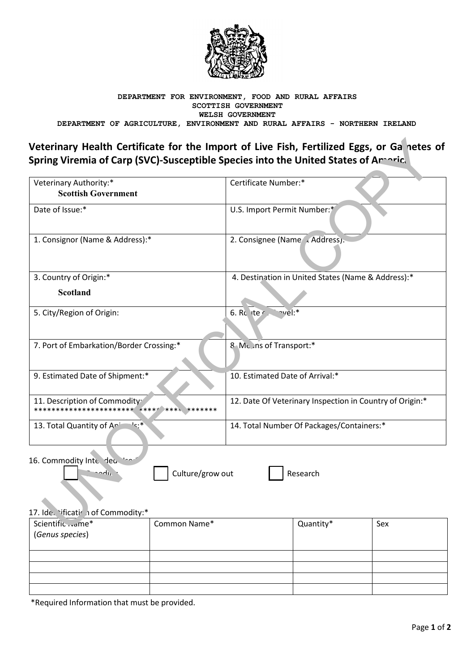

#### DEPARTMENT FOR ENVIRONMENT, FOOD AND RURAL AFFAIRS SCOTTISH GOVERNMENT WELSH GOVERNMENT DEPARTMENT OF AGRICULTURE, ENVIRONMENT AND RURAL AFFAIRS - NORTHERN IRELAND

# Veterinary Health Certificate for the Import of Live Fish, Fertilized Eggs, or Ganetes of Spring Viremia of Carp (SVC)-Susceptible Species into the United States of Amaric.

| Veterinary Authority:*<br><b>Scottish Government</b> | Certificate Number:*                                     |
|------------------------------------------------------|----------------------------------------------------------|
| Date of Issue:*                                      | U.S. Import Permit Number:*                              |
| 1. Consignor (Name & Address):*                      | 2. Consignee (Name / Address).                           |
| 3. Country of Origin:*                               | 4. Destination in United States (Name & Address):*       |
| <b>Scotland</b>                                      |                                                          |
| 5. City/Region of Origin:                            | nvel:*<br>6. Rc $ter$                                    |
| 7. Port of Embarkation/Border Crossing:*             | 8 ML ins of Transport:*                                  |
| 9. Estimated Date of Shipment:*                      | 10. Estimated Date of Arrival:*                          |
| 11. Description of Commodity <sup>.</sup>            | 12. Date Of Veterinary Inspection in Country of Origin:* |
| اد∙∗<br>13. Total Quantity of Ari                    | 14. Total Number Of Packages/Containers:*                |

16. Commodity Inte dec 's

Culture/grow out

Research

# 17. Ide. 'ificatir i of Commodity:\*

odir

| Scientific  me*<br>(Genus species) | Common Name* | Quantity* | Sex |
|------------------------------------|--------------|-----------|-----|
|                                    |              |           |     |
|                                    |              |           |     |
|                                    |              |           |     |
|                                    |              |           |     |

\*Required Information that must be provided.